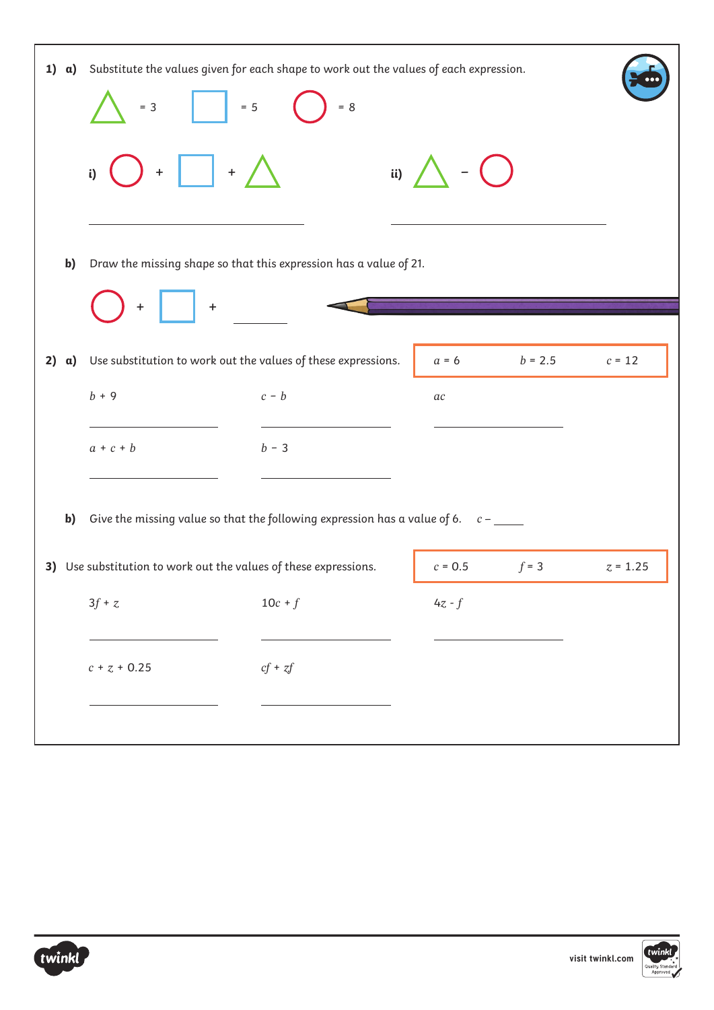| 1)<br>$\alpha$ ) | Substitute the values given for each shape to work out the values of each expression.<br>$= 5$<br>$= 8$<br>$= 3$ |             |                       |           |                                |
|------------------|------------------------------------------------------------------------------------------------------------------|-------------|-----------------------|-----------|--------------------------------|
|                  | $\left  + \right $<br>i)<br>$+$                                                                                  | (ii)        |                       |           |                                |
| b)               | Draw the missing shape so that this expression has a value of 21.                                                |             |                       |           |                                |
|                  | $\pm$                                                                                                            |             |                       |           |                                |
| 2)<br>a)         | Use substitution to work out the values of these expressions.                                                    |             | $a = 6$               | $b = 2.5$ | $c = \ensuremath{\mathsf{12}}$ |
|                  | $b + 9$                                                                                                          | $c - b$     | $\it ac$              |           |                                |
|                  | $a + c + b$                                                                                                      | $b - 3$     |                       |           |                                |
| $\mathbf{b}$     | Give the missing value so that the following expression has a value of 6. $c$ -                                  |             |                       |           |                                |
|                  | 3) Use substitution to work out the values of these expressions.                                                 |             | $c = 0.5$             | $f = 3$   | $z = 1.25$                     |
|                  | $3f$ + $\emph{z}$                                                                                                | $10c + f$   | 4z - $\boldsymbol{f}$ |           |                                |
|                  | $c + z + 0.25$                                                                                                   | $cf$ + $zf$ |                       |           |                                |
|                  |                                                                                                                  |             |                       |           |                                |



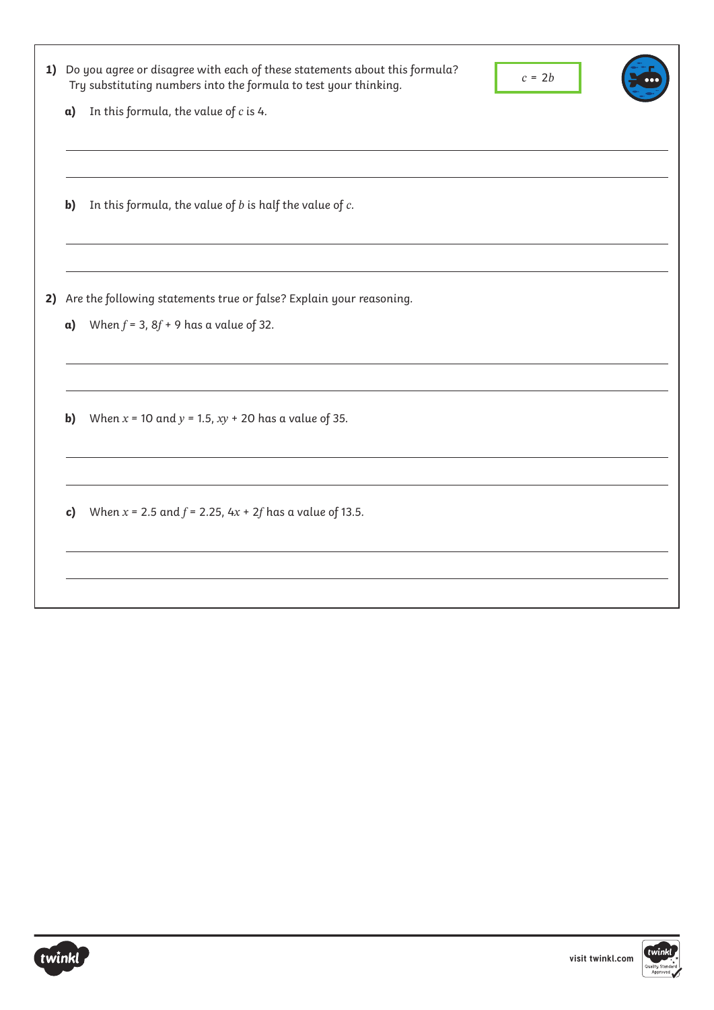| 1) |            | Do you agree or disagree with each of these statements about this formula?<br>$c = 2b$<br>Try substituting numbers into the formula to test your thinking. |
|----|------------|------------------------------------------------------------------------------------------------------------------------------------------------------------|
|    | a)         | In this formula, the value of $c$ is 4.                                                                                                                    |
|    |            |                                                                                                                                                            |
|    |            |                                                                                                                                                            |
|    | b)         | In this formula, the value of $b$ is half the value of $c$ .                                                                                               |
|    |            |                                                                                                                                                            |
|    |            |                                                                                                                                                            |
| 2) |            | Are the following statements true or false? Explain your reasoning.                                                                                        |
|    | $\alpha$ ) | When $f = 3$ , $8f + 9$ has a value of 32.                                                                                                                 |
|    |            |                                                                                                                                                            |
|    |            |                                                                                                                                                            |
|    | b)         | When $x = 10$ and $y = 1.5$ , $xy + 20$ has a value of 35.                                                                                                 |
|    |            |                                                                                                                                                            |
|    |            |                                                                                                                                                            |
|    | c)         | When $x = 2.5$ and $f = 2.25$ , $4x + 2f$ has a value of 13.5.                                                                                             |
|    |            |                                                                                                                                                            |
|    |            |                                                                                                                                                            |
|    |            |                                                                                                                                                            |



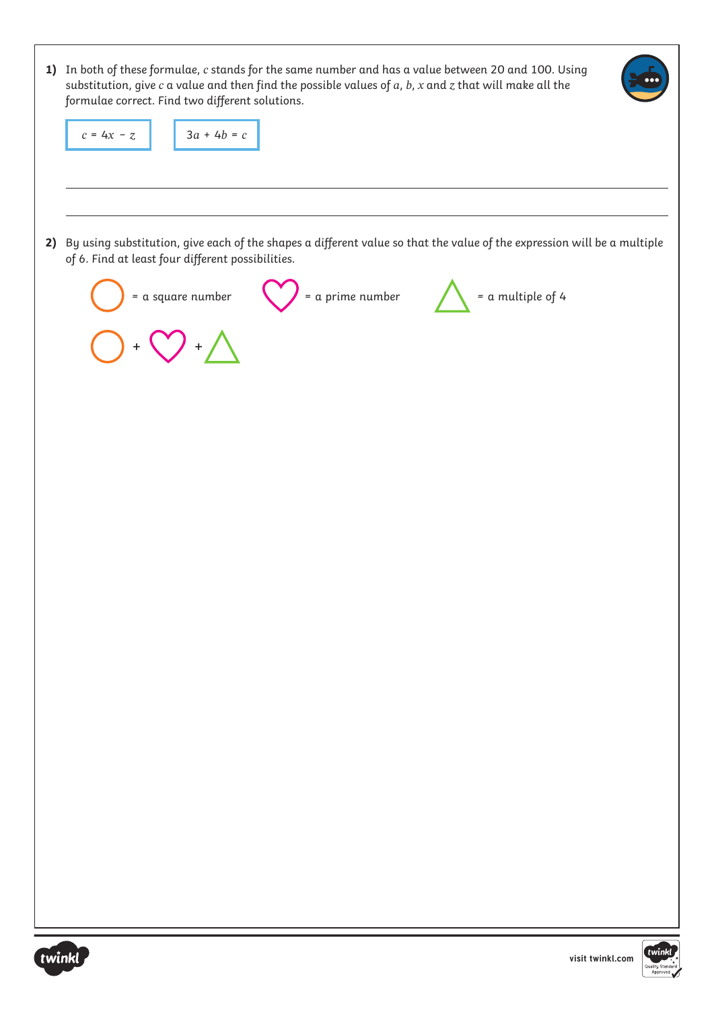| twinkl                                                                                                                                                                | visit twinkl.com | twinkl |
|-----------------------------------------------------------------------------------------------------------------------------------------------------------------------|------------------|--------|
|                                                                                                                                                                       |                  |        |
|                                                                                                                                                                       |                  |        |
|                                                                                                                                                                       |                  |        |
|                                                                                                                                                                       |                  |        |
|                                                                                                                                                                       |                  |        |
|                                                                                                                                                                       |                  |        |
|                                                                                                                                                                       |                  |        |
|                                                                                                                                                                       |                  |        |
|                                                                                                                                                                       |                  |        |
|                                                                                                                                                                       |                  |        |
|                                                                                                                                                                       |                  |        |
|                                                                                                                                                                       |                  |        |
|                                                                                                                                                                       |                  |        |
| $+$<br>$+$                                                                                                                                                            |                  |        |
| of 6. Find at least four different possibilities.<br>$\int$ = a prime number<br>$=$ a multiple of 4<br>$=$ a square number                                            |                  |        |
| 2) By using substitution, give each of the shapes a different value so that the value of the expression will be a multiple                                            |                  |        |
|                                                                                                                                                                       |                  |        |
| $3a + 4b = c$<br>$c = 4x - z$                                                                                                                                         |                  |        |
| substitution, give $c$ a value and then find the possible values of $a$ , $b$ , $x$ and $z$ that will make all the<br>formulae correct. Find two different solutions. |                  |        |
| 1) In both of these formulae, c stands for the same number and has a value between 20 and 100. Using                                                                  |                  |        |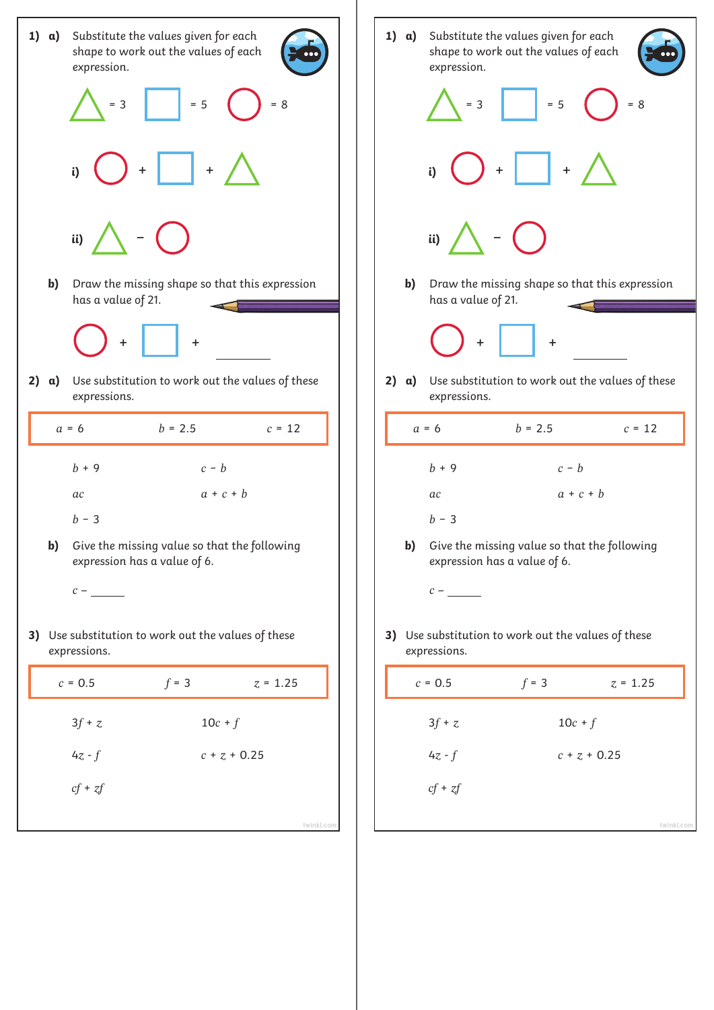

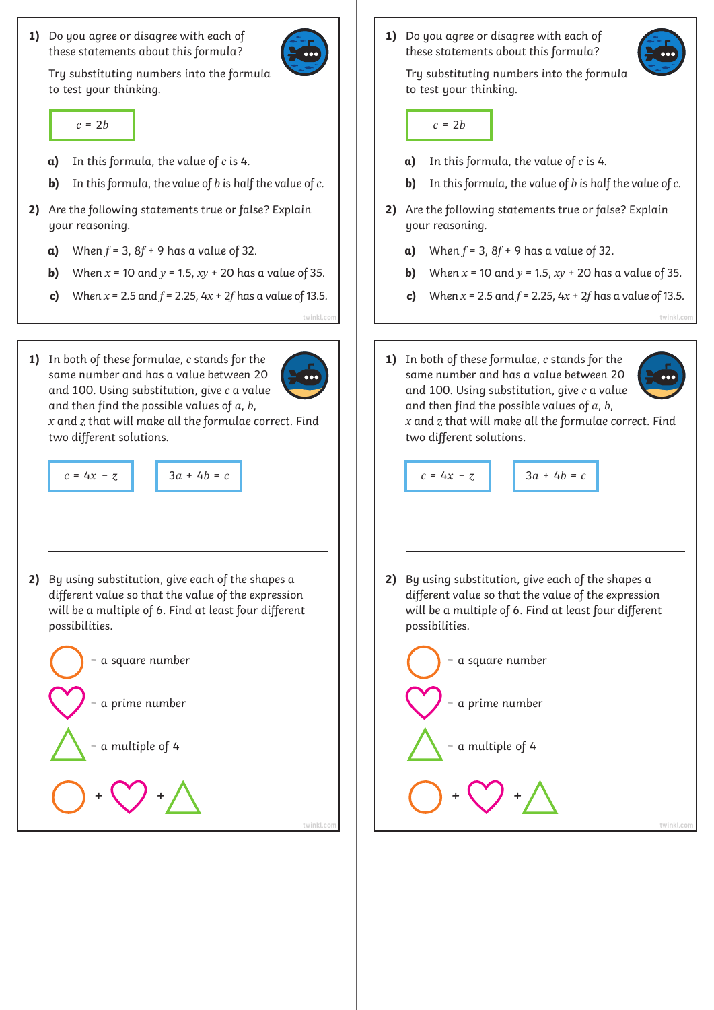**1)** Do you agree or disagree with each of these statements about this formula?



Try substituting numbers into the formula to test your thinking.

- **a)**  In this formula, the value of *c* is 4.
- **b)**  In this formula, the value of *b* is half the value of *c*.
- **2)** Are the following statements true or false? Explain your reasoning.
	- **a)** When  $f = 3$ ,  $8f + 9$  has a value of 32.
	- **b)** When  $x = 10$  and  $y = 1.5$ ,  $xy + 20$  has a value of 35.
	- **c)** When  $x = 2.5$  and  $f = 2.25$ ,  $4x + 2f$  has a value of 13.5.
- **1)** In both of these formulae, *c* stands for the same number and has a value between 20 and 100. Using substitution, give *c* a value and then find the possible values of *a*, *b*,

*x* and *z* that will make all the formulae correct. Find two different solutions.



**2)** By using substitution, give each of the shapes a different value so that the value of the expression will be a multiple of 6. Find at least four different possibilities.



**1)** Do you agree or disagree with each of these statements about this formula?

Try substituting numbers into the formula to test your thinking.

- $c = 2b$  **c** = 2*b* 
	- **a)**  In this formula, the value of *c* is 4.
	- **b)**  In this formula, the value of *b* is half the value of *c*.
	- **2)** Are the following statements true or false? Explain your reasoning.
		- **a)** When  $f = 3$ ,  $8f + 9$  has a value of 32.
		- **b)** When  $x = 10$  and  $y = 1.5$ ,  $xy + 20$  has a value of 35.
		- **c)** When  $x = 2.5$  and  $f = 2.25$ ,  $4x + 2f$  has a value of 13.5.
	- **1)** In both of these formulae, *c* stands for the same number and has a value between 20 and 100. Using substitution, give *c* a value and then find the possible values of *a*, *b*,

**[twinkl.com](https://www.twinkl.co.uk/resources/white-rose-maths-resources/year-6-white-rose-maths-resources-key-stage-1-year-1-year-2/spring-block-3-algebra-year-6-white-rose-maths-supporting-resources-key-stage-1) [twinkl.com](https://www.twinkl.co.uk/resources/white-rose-maths-resources/year-6-white-rose-maths-resources-key-stage-1-year-1-year-2/spring-block-3-algebra-year-6-white-rose-maths-supporting-resources-key-stage-1)**



*x* and *z* that will make all the formulae correct. Find two different solutions.

```
c = 4x − z 3a + 4b = c 3a + 4b = c 3a + 4b = c
```
**2)** By using substitution, give each of the shapes a different value so that the value of the expression will be a multiple of 6. Find at least four different possibilities.